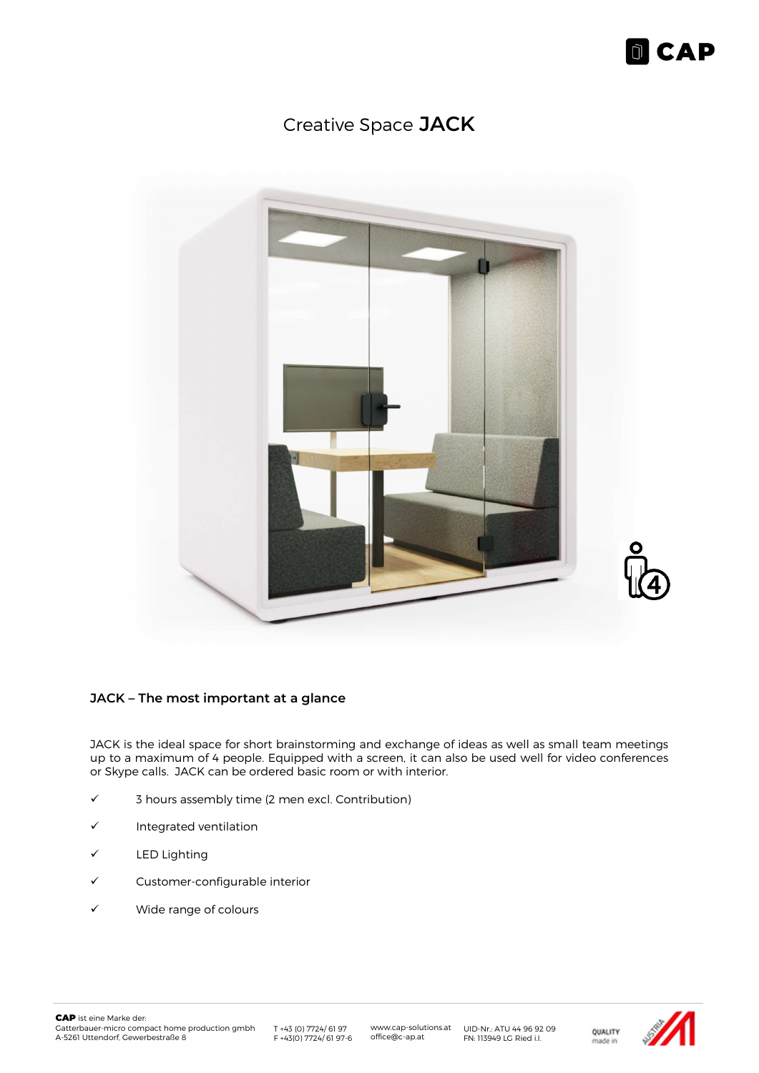

# Creative Space JACK



#### JACK – The most important at a glance

JACK is the ideal space for short brainstorming and exchange of ideas as well as small team meetings up to a maximum of 4 people. Equipped with a screen, it can also be used well for video conferences or Skype calls. JACK can be ordered basic room or with interior.

- $\checkmark$  3 hours assembly time (2 men excl. Contribution)
- $\checkmark$  Integrated ventilation
- LED Lighting
- Customer-configurable interior
- Wide range of colours

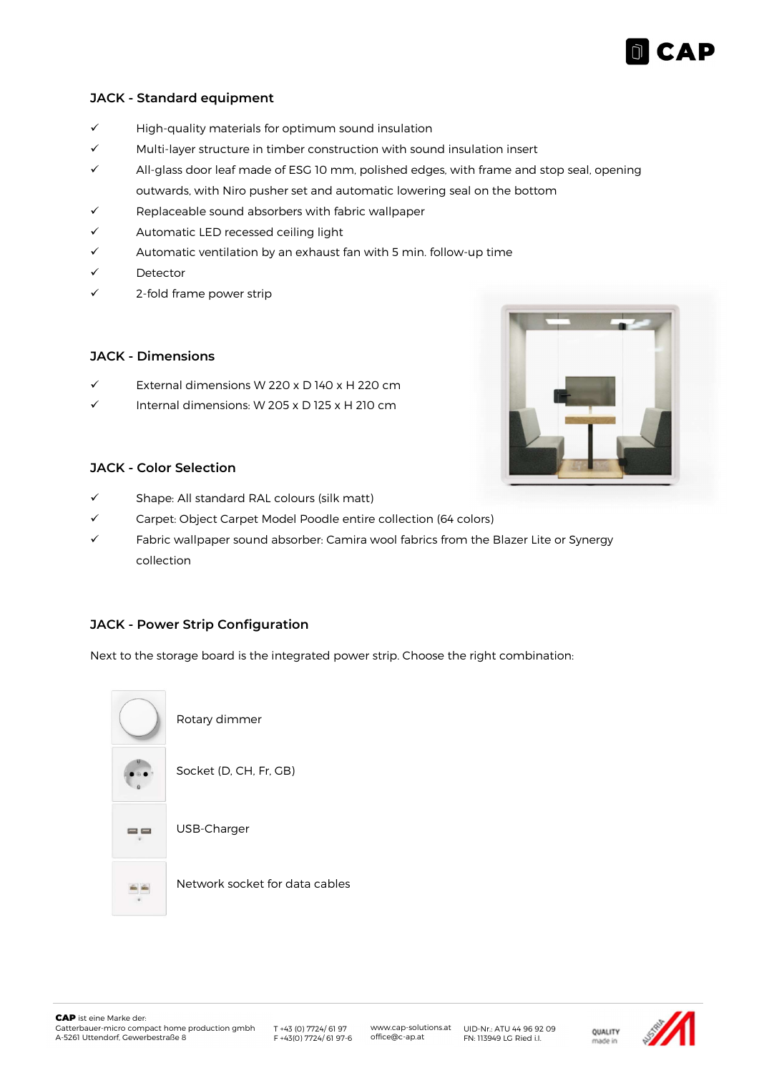

### JACK - Standard equipment

- $\checkmark$  High-quality materials for optimum sound insulation
- $\checkmark$  Multi-layer structure in timber construction with sound insulation insert
- All-glass door leaf made of ESG 10 mm, polished edges, with frame and stop seal, opening outwards, with Niro pusher set and automatic lowering seal on the bottom
- Replaceable sound absorbers with fabric wallpaper
- $\checkmark$  Automatic LED recessed ceiling light
- $\checkmark$  Automatic ventilation by an exhaust fan with 5 min. follow-up time
- Detector
- 2-fold frame power strip

## JACK - Dimensions

- $\checkmark$  External dimensions W 220 x D 140 x H 220 cm
- Internal dimensions: W 205 x D 125 x H 210 cm



#### JACK - Color Selection

- $\checkmark$  Shape: All standard RAL colours (silk matt)
- Carpet: Object Carpet Model Poodle entire collection (64 colors)
- $\checkmark$  Fabric wallpaper sound absorber: Camira wool fabrics from the Blazer Lite or Synergy collection

# JACK - Power Strip Configuration

Next to the storage board is the integrated power strip. Choose the right combination: